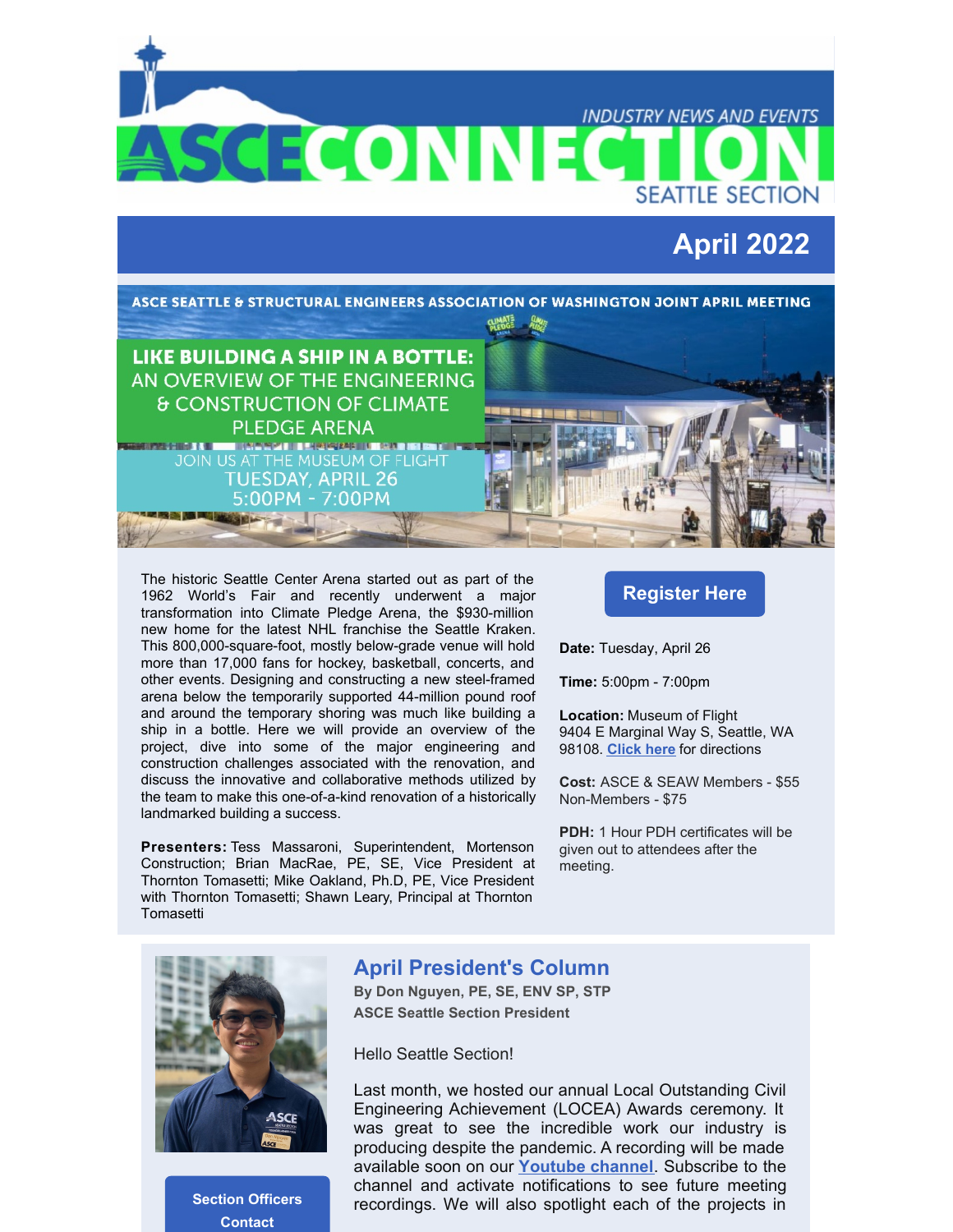**INDUSTRY NEWS AND EVENTS** SCECONNEC **SEATTLE SECTION April 2022** ASCE SEATTLE & STRUCTURAL ENGINEERS ASSOCIATION OF WASHINGTON JOINT APRIL MEETING **LIKE BUILDING A SHIP IN A BOTTLE:** AN OVERVIEW OF THE ENGINEERING **& CONSTRUCTION OF CLIMATE PLEDGE ARENA** <u> 11 Meterski ili sera ist en dir</u> **NEWS CHECK & BILL TUESDAY, APRIL 26** 5:00PM - 7:00PM

The historic Seattle Center Arena started out as part of the 1962 World's Fair and recently underwent a major transformation into Climate Pledge Arena, the \$930-million new home for the latest NHL franchise the Seattle Kraken. This 800,000-square-foot, mostly below-grade venue will hold more than 17,000 fans for hockey, basketball, concerts, and other events. Designing and constructing a new steel-framed arena below the temporarily supported 44-million pound roof and around the temporary shoring was much like building a ship in a bottle. Here we will provide an overview of the project, dive into some of the major engineering and construction challenges associated with the renovation, and discuss the innovative and collaborative methods utilized by the team to make this one-of-a-kind renovation of a historically landmarked building a success.

**Presenters:** Tess Massaroni, Superintendent, Mortenson Construction; Brian MacRae, PE, SE, Vice President at Thornton Tomasetti; Mike Oakland, Ph.D, PE, Vice President with Thornton Tomasetti; Shawn Leary, Principal at Thornton **Tomasetti** 

### **[Register](https://events.r20.constantcontact.com/register/eventReg?oeidk=a07ej4n9x62a0c3aa61&oseq=&c=&ch=) Here**

**Date:** Tuesday, April 26

**Time:** 5:00pm - 7:00pm

**Location:** Museum of Flight 9404 E Marginal Way S, Seattle, WA 98108. **[Click](https://r20.rs6.net/tn.jsp?f=001Kigj29msld1ejzA_33OssTumwV2qEz5K0ZgVB4lyzoT6iL-AR3Tz2qVZRSRfXSqbyU1wCk9vOI4_ARSDqHxtqtaI6YjD_gNfWI6Oj4mXO7axPiaBjJdq4FHpRnRoTlB03cgBjAybiVXwDcskmTaXmuuDqnVX2P7R9t4inFC-wgePUioxTHjVro1n4t-OjQ_AAV_hnZGNI_oEyxenqqXxGLBYcGMzHtNy58LmhS56tvrgIv8EUjdCrccOSuhfljOeWVOaHwsLjBjQGAeCI4sFI6UK3tn5a-RAi3BZdJ57pNLg0BK7rnBtpkhzfoamnNMsZUwJpNHD3fyGXvkc6EE8f5koCRg-b915&c=NJ9QNBt_9FdTHdr_u1TZtZWUPKWsaLrWrJa-jpNxHKA8uVp_SSVPGg==&ch=6Hlgx53KxXHU0kgNnQHCb5ZH1Z-37ZKOaSeGIYhOwDtH-o7yk17Agg==) here** for directions

**Cost:** ASCE & SEAW Members - \$55 Non-Members - \$75

**PDH:** 1 Hour PDH certificates will be given out to attendees after the meeting.



**Section [Officers](http://sections.asce.org/seattle/contacts) Contact**

### **April President's Column**

**By Don Nguyen, PE, SE, ENV SP, STP ASCE Seattle Section President**

Hello Seattle Section!

Last month, we hosted our annual Local Outstanding Civil Engineering Achievement (LOCEA) Awards ceremony. It was great to see the incredible work our industry is producing despite the pandemic. A recording will be made available soon on our **[Youtube](https://www.youtube.com/channel/UCLa8ElQKTIgFf7pXyy5AyHA) channel**. Subscribe to the channel and activate notifications to see future meeting recordings. We will also spotlight each of the projects in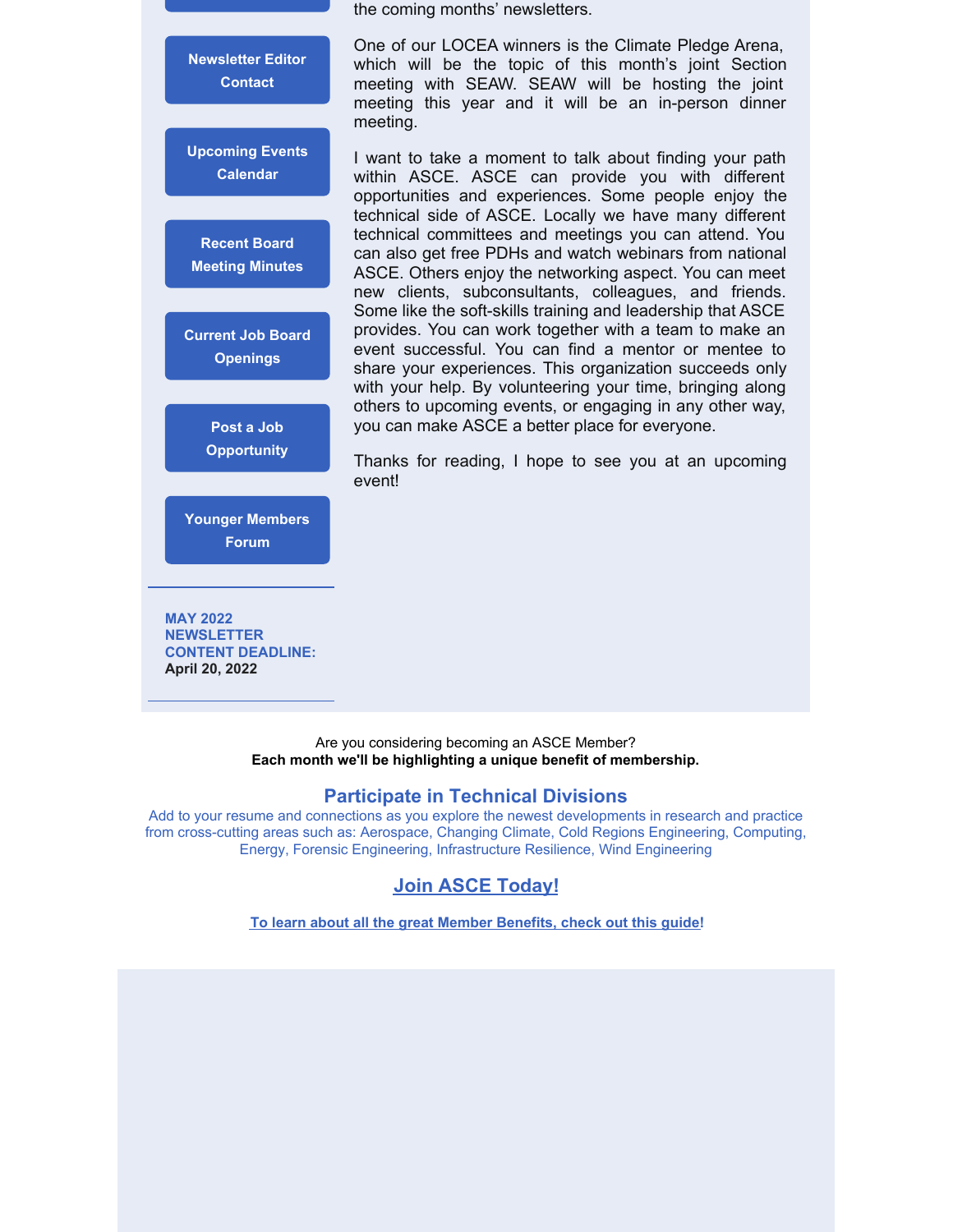**[Newsletter](mailto:communications@seattleasce.org) Editor Contact [Upcoming](http://sections.asce.org/seattle/events) Events Calendar Recent Board Meeting [Minutes](http://sections.asce.org/seattle/node/36) Current Job Board [Openings](http://sections.asce.org/seattle/node/21) Post a Job [Opportunity](https://sections.asce.org/seattle/advertising-job-postings)**

**Younger [Members](https://www.seattleasceymf.org/) Forum**

**MAY 2022 NEWSLETTER CONTENT DEADLINE: April 20, 2022**

the coming months' newsletters.

One of our LOCEA winners is the Climate Pledge Arena, which will be the topic of this month's joint Section meeting with SEAW. SEAW will be hosting the joint meeting this year and it will be an in-person dinner meeting.

I want to take a moment to talk about finding your path within ASCE. ASCE can provide you with different opportunities and experiences. Some people enjoy the technical side of ASCE. Locally we have many different technical committees and meetings you can attend. You can also get free PDHs and watch webinars from national ASCE. Others enjoy the networking aspect. You can meet new clients, subconsultants, colleagues, and friends. Some like the soft-skills training and leadership that ASCE provides. You can work together with a team to make an event successful. You can find a mentor or mentee to share your experiences. This organization succeeds only with your help. By volunteering your time, bringing along others to upcoming events, or engaging in any other way, you can make ASCE a better place for everyone.

Thanks for reading, I hope to see you at an upcoming event!

Are you considering becoming an ASCE Member? **Each month we'll be highlighting a unique benefit of membership.**

#### **Participate in Technical Divisions**

Add to your resume and connections as you explore the newest developments in research and practice from cross-cutting areas such as: Aerospace, Changing Climate, Cold Regions Engineering, Computing, Energy, Forensic Engineering, Infrastructure Resilience, Wind Engineering

### **Join ASCE [Today!](https://www.asce.org/join/)**

**To learn about all the great Member [Benefits,](https://www.asce.org/-/media/asce-images-and-files/membership/documents/asce-member-benefits-guide.pdf) check out this guide!**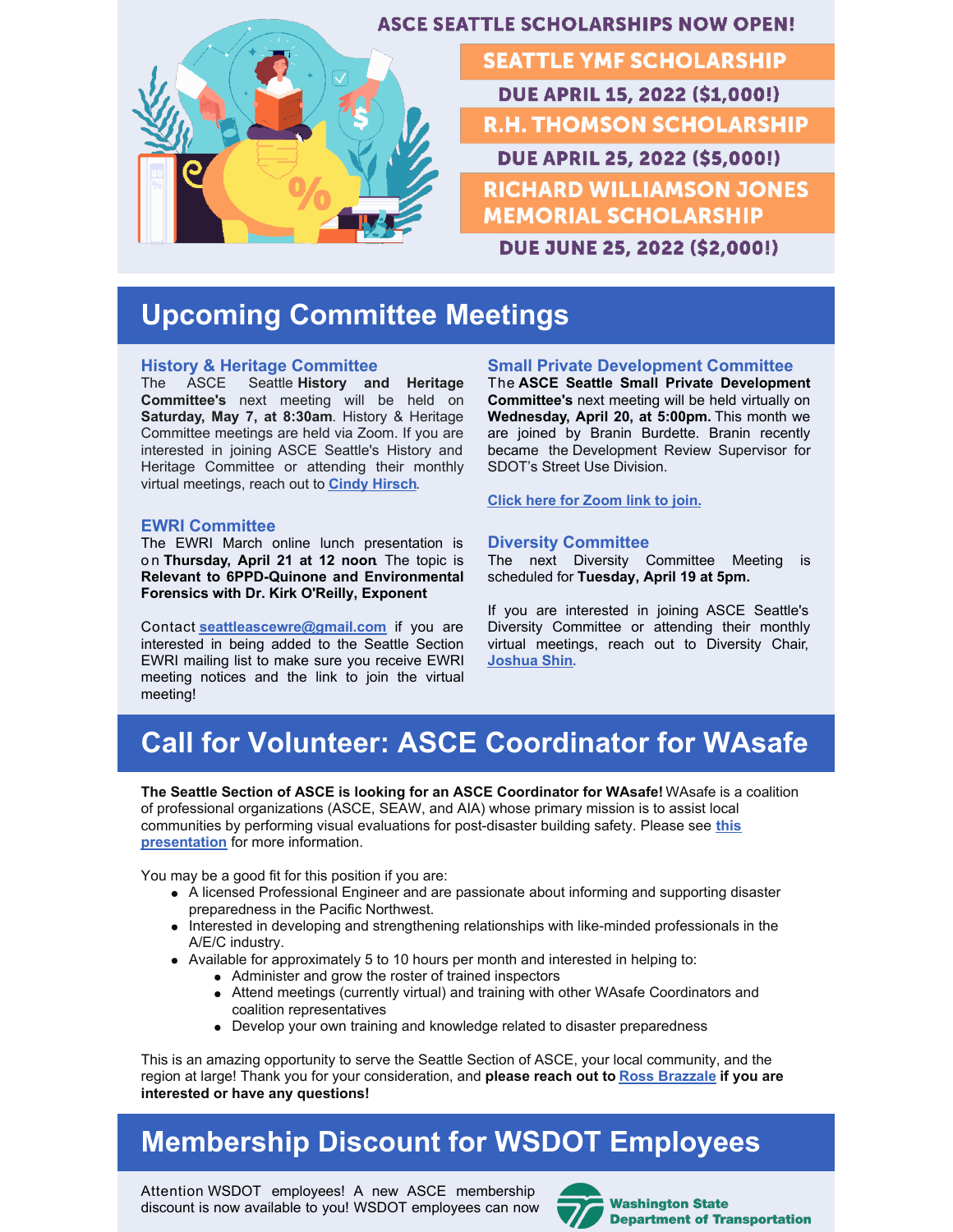

## **Upcoming Committee Meetings**

#### **History & Heritage Committee**

The ASCE Seattle **History and Heritage Committee's** next meeting will be held on **Saturday, May 7, at 8:30am**. History & Heritage Committee meetings are held via Zoom. If you are interested in joining ASCE Seattle's History and Heritage Committee or attending their monthly virtual meetings, reach out to **Cindy [Hirsch](mailto:msairportchick@hotmail.com)**[.](mailto:msairportchick@hotmail.com)

#### **EWRI Committee**

The EWRI March online lunch presentation is o n **Thursday, April 21 at 12 noon**. The topic is **Relevant to 6PPD-Quinone and Environmental Forensics with Dr. Kirk O'Reilly, Exponent**

Contact **[seattleascewre@gmail.com](mailto:seattleascewre@gmail.com)** if you are interested in being added to the Seattle Section EWRI mailing list to make sure you receive EWRI meeting notices and the link to join the virtual meeting!

#### **Small Private Development Committee**

The **ASCE Seattle Small Private Development Committee's** next meeting will be held virtually on **Wednesday, April 20, at 5:00pm.** This month we are joined by Branin Burdette. Branin recently became the Development Review Supervisor for SDOT's Street Use Division.

**Click here for [Zoom](https://sections.asce.org/seattle/asce-small-private-development-committee-meeting-1) link to join.**

#### **Diversity Committee**

The next Diversity Committee Meeting is scheduled for **Tuesday, April 19 at 5pm.**

If you are interested in joining ASCE Seattle's Diversity Committee or attending their monthly virtual meetings, reach out to Diversity Chair, **[Joshua](mailto:diversity@seattleasce.org) Shin.**

# **Call for Volunteer: ASCE Coordinator for WAsafe**

**The Seattle Section of ASCE is looking for an ASCE Coordinator for WAsafe!** WAsafe is a coalition of professional organizations (ASCE, SEAW, and AIA) whose primary mission is to assist local communities by performing visual evaluations for [post-disaster](https://wabo.memberclicks.net/assets/Emergency_Mngt/What is WAsafe 02_11_22.pdf) building safety. Please see **this presentation** for more information.

You may be a good fit for this position if you are:

- A licensed Professional Engineer and are passionate about informing and supporting disaster preparedness in the Pacific Northwest.
- Interested in developing and strengthening relationships with like-minded professionals in the A/E/C industry.
- Available for approximately 5 to 10 hours per month and interested in helping to:
	- Administer and grow the roster of trained inspectors
	- Attend meetings (currently virtual) and training with other WAsafe Coordinators and coalition representatives
	- Develop your own training and knowledge related to disaster preparedness

This is an amazing opportunity to serve the Seattle Section of ASCE, your local community, and the region at large! Thank you for your consideration, and **please reach out to Ross [Brazzale](mailto:wasafe@seattleasce.org) if you are interested or have any questions!**

## **Membership Discount for WSDOT Employees**

Attention [WSDOT](https://www.linkedin.com/feed/hashtag/?keywords=wsdot&highlightedUpdateUrns=urn%3Ali%3Aactivity%3A6887438154735984640) employees! A new ASCE membership discount is now available to you! WSDOT employees can now



**Washington State Department of Transportation**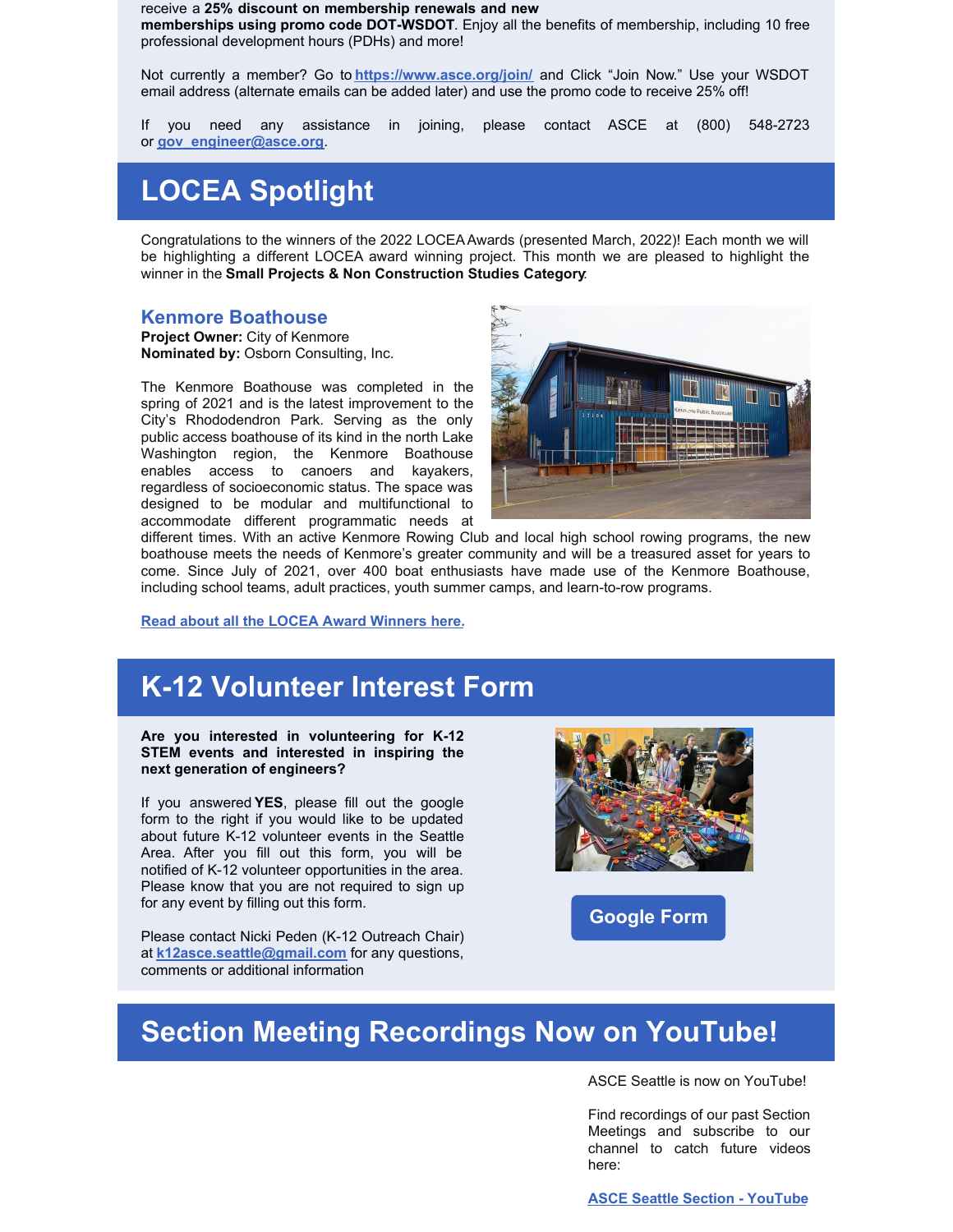receive a **25% discount on membership renewals and new memberships using promo code DOT-WSDOT**. Enjoy all the benefits of membership, including 10 free professional development hours (PDHs) and more!

Not currently a member? Go to **<https://www.asce.org/join/>** and Click "Join Now." Use your WSDOT email address (alternate emails can be added later) and use the promo code to receive 25% off!

If you need any assistance in joining, please contact ASCE at (800) 548-2723 or **[gov\\_engineer@asce.org](mailto:gov_engineer@asce.org)**.

# **LOCEA Spotlight**

Congratulations to the winners of the 2022 LOCEAAwards (presented March, 2022)! Each month we will be highlighting a different LOCEA award winning project. This month we are pleased to highlight the winner in the **Small Projects & Non Construction Studies Category**:

#### **Kenmore Boathouse**

**Project Owner:** City of Kenmore **Nominated by:** Osborn Consulting, Inc.

The Kenmore Boathouse was completed in the spring of 2021 and is the latest improvement to the City's Rhododendron Park. Serving as the only public access boathouse of its kind in the north Lake Washington region, the Kenmore Boathouse enables access to canoers and kayakers, regardless of socioeconomic status. The space was designed to be modular and multifunctional to accommodate different programmatic needs at



different times. With an active Kenmore Rowing Club and local high school rowing programs, the new boathouse meets the needs of Kenmore's greater community and will be a treasured asset for years to come. Since July of 2021, over 400 boat enthusiasts have made use of the Kenmore Boathouse, including school teams, adult practices, youth summer camps, and learn-to-row programs.

**Read about all the LOCEA Award [Winners](https://sections.asce.org/seattle/awards) here.**

### **K-12 Volunteer Interest Form**

**Are you interested in volunteering for K-12 STEM events and interested in inspiring the next generation of engineers?**

If you answered **YES**, please fill out the google form to the right if you would like to be updated about future K-12 volunteer events in the Seattle Area. After you fill out this form, you will be notified of K-12 volunteer opportunities in the area. Please know that you are not required to sign up for any event by filling out this form.

Please contact Nicki Peden (K-12 Outreach Chair) at **[k12asce.seattle@gmail.com](mailto:k12asce.seattle@gmail.com)** for any questions, comments or additional information



**[Google](https://forms.gle/iNHKQW8RNMSgvZW19) Form**

## **Section Meeting Recordings Now on YouTube!**

ASCE Seattle is now on YouTube!

Find recordings of our past Section Meetings and subscribe to our channel to catch future videos here:

**ASCE Seattle Section - [YouTube](https://www.youtube.com/channel/UCLa8ElQKTIgFf7pXyy5AyHA/videos)**